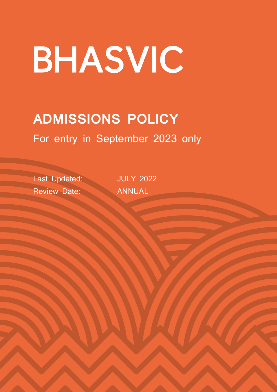# BHASVIC

# **ADMISSIONS POLICY** For entry in September 2023 only

Last Updated: JULY 2022 Review Date: ANNUAL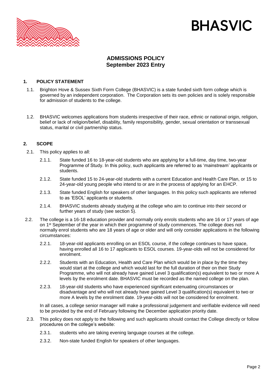

# **BHASVIC**

# **ADMISSIONS POLICY September 2023 Entry**

#### **1. POLICY STATEMENT**

- 1.1. Brighton Hove & Sussex Sixth Form College (BHASVIC) is a state funded sixth form college which is governed by an independent corporation. The Corporation sets its own policies and is solely responsible for admission of students to the college.
- 1.2. BHASVIC welcomes applications from students irrespective of their race, ethnic or national origin, religion, belief or lack of religion/belief, disability, family responsibility, gender, sexual orientation or transsexual status, marital or civil partnership status.

#### **2. SCOPE**

- 2.1. This policy applies to all:
	- 2.1.1. State funded 16 to 18-year-old students who are applying for a full-time, day time, two-year Programme of Study. In this policy, such applicants are referred to as 'mainstream' applicants or students.
	- 2.1.2. State funded 15 to 24-year-old students with a current Education and Health Care Plan, or 15 to 24-year-old young people who intend to or are in the process of applying for an EHCP.
	- 2.1.3. State funded English for speakers of other languages. In this policy such applicants are referred to as 'ESOL' applicants or students.
	- 2.1.4. BHASVIC students already studying at the college who aim to continue into their second or further years of study (see section 5).
- 2.2. The college is a 16-18 education provider and normally only enrols students who are 16 or 17 years of age on 1<sup>st</sup> September of the year in which their programme of study commences. The college does not normally enrol students who are 18 years of age or older and will only consider applications in the following circumstances:
	- 2.2.1. 18-year-old applicants enrolling on an ESOL course, if the college continues to have space, having enrolled all 16 to 17 applicants to ESOL courses. 19-year-olds will not be considered for enrolment.
	- 2.2.2. Students with an Education, Health and Care Plan which would be in place by the time they would start at the college and which would last for the full duration of their on their Study Programme, who will not already have gained Level 3 qualification(s) equivalent to two or more A levels by the enrolment date. BHASVIC must be recorded as the named college on the plan.
	- 2.2.3. 18-year-old students who have experienced significant extenuating circumstances or disadvantage and who will not already have gained Level 3 qualification(s) equivalent to two or more A levels by the enrolment date. 19-year-olds will not be considered for enrolment.

In all cases, a college senior manager will make a professional judgement and verifiable evidence will need to be provided by the end of February following the December application priority date.

- 2.3. This policy does not apply to the following and such applicants should contact the College directly or follow procedures on the college's website:
	- 2.3.1. students who are taking evening language courses at the college.
	- 2.3.2. Non-state funded English for speakers of other languages.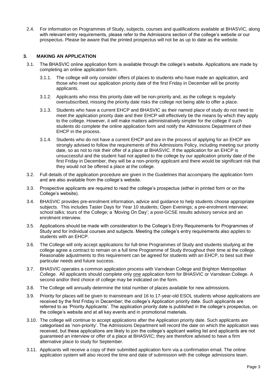2.4. For information on Programmes of Study, subjects, courses and qualifications available at BHASVIC, along with relevant entry requirements, please refer to the Admissions section of the college's website or our prospectus. Please be aware that the printed prospectus will not be as up to date as the website.

### **3. MAKING AN APPLICATION**

- 3.1. The BHASVIC online application form is available through the college's website. Applications are made by completing an online application form.
	- 3.1.1. The college will only consider offers of places to students who have made an application, and those who meet our application priority date of the first Friday in December will be priority applicants.
	- 3.1.2. Applicants who miss this priority date will be non-priority and, as the college is regularly oversubscribed, missing the priority date risks the college not being able to offer a place.
	- 3.1.3. Students who have a current EHCP and BHASVIC as their named place of study do not need to meet the application priority date and their EHCP will effectively be the means by which they apply to the college. However, it will make matters administratively simpler for the college if such students do complete the online application form and notify the Admissions Department of their EHCP in the process.
	- 3.1.4. Students who do not have a current EHCP and are in the process of applying for an EHCP are strongly advised to follow the requirements of this Admissions Policy, including meeting our priority date, so as not to risk their offer of a place at BHASVIC. If the application for an EHCP is unsuccessful and the student had not applied to the college by our application priority date of the first Friday in December, they will be a non-priority applicant and there would be significant risk that they would not be offered a place at the college.
- 3.2. Full details of the application procedure are given in the Guidelines that accompany the application form and are also available from the college's website.
- 3.3. Prospective applicants are required to read the college's prospectus (either in printed form or on the College's website).
- 3.4. BHASVIC provides pre-enrolment information, advice and guidance to help students choose appropriate subjects. This includes Taster Days for Year 10 students; Open Evenings; a pre-enrolment interview; school talks; tours of the College; a 'Moving On Day'; a post-GCSE results advisory service and an enrolment interview.
- 3.5. Applications should be made with consideration to the College's Entry Requirements for Programmes of Study and for individual courses and subjects. Meeting the college's entry requirements also applies to students with an EHCP.
- 3.6. The College will only accept applications for full-time Programmes of Study and students studying at the college agree a contract to remain on a full time Programme of Study throughout their time at the college. Reasonable adjustments to this requirement can be agreed for students with an EHCP, to best suit their particular needs and future success.
- 3.7. BHASVIC operates a common application process with Varndean College and Brighton Metropolitan College. All applicants should complete only one application form for BHASVIC or Varndean College. A second and/or third choice of college may be indicated on the form.
- 3.8. The College will annually determine the total number of places available for new admissions.
- 3.9. Priority for places will be given to mainstream and 16 to 17-year-old ESOL students whose applications are received by the first Friday in December; the college's Application priority date. Such applicants are referred to as 'Priority Applicants'. The application priority date is published in the college's prospectus, on the college's website and at all key events and in promotional materials.
- 3.10. The college will continue to accept applications after the Application priority date. Such applicants are categorised as 'non-priority'. The Admissions Department will record the date on which the application was received, but these applications are likely to join the college's applicant waiting list and applicants are not guaranteed an interview or offer of a place at BHASVIC; they are therefore advised to have a firm alternative place to study for September.
- 3.11. Applicants will receive a copy of their submitted application form via a confirmation email. The online application system will also record the time and date of submission with the college admissions team.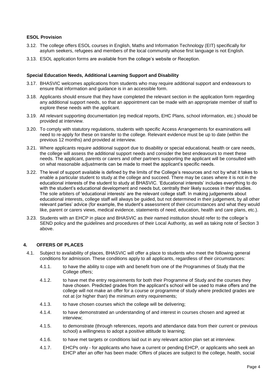#### **ESOL Provision**

- 3.12. The college offers ESOL courses in English, Maths and Information Technology (EIT) specifically for asylum seekers, refugees and members of the local community whose first language is not English.
- 3.13. ESOL application forms are available from the college's website or Reception.

#### **Special Education Needs, Additional Learning Support and Disability**

- 3.17. BHASVIC welcomes applications from students who may require additional support and endeavours to ensure that information and guidance is in an accessible form.
- 3.18. Applicants should ensure that they have completed the relevant section in the application form regarding any additional support needs, so that an appointment can be made with an appropriate member of staff to explore these needs with the applicant.
- 3.19. All relevant supporting documentation (eg medical reports, EHC Plans, school information, etc.) should be provided at interview.
- 3.20. To comply with statutory regulations, students with specific Access Arrangements for examinations will need to re-apply for these on transfer to the college. Relevant evidence must be up to date (within the previous 12 months) and provided at interview.
- 3.21. Where applicants require additional support due to disability or special educational, health or care needs, the college will assess the additional support needs and consider the best endeavours to meet these needs. The applicant, parents or carers and other partners supporting the applicant will be consulted with on what reasonable adjustments can be made to meet the applicant's specific needs.
- 3.22. The level of support available is defined by the limits of the College's resources and not by what it takes to enable a particular student to study at the college and succeed. There may be cases where it is not in the educational interests of the student to study at BHASVIC. 'Educational interests' includes everything to do with the student's educational development and needs but, centrally their likely success in their studies. The sole arbiters of 'educational interests' are the relevant college staff. In making judgements about educational interests, college staff will always be guided, but not determined in their judgement, by all other relevant parties' advice (for example, the student's assessment of their circumstances and what they would like, parent or carers views, medical evidence, statements of need, education, health and care plans, etc.).
- 3.23. Students with an EHCP in place and BHASVIC as their named institution should refer to the college's SEND policy and the guidelines and procedures of their Local Authority, as well as taking note of Section 3 above.

#### **4. OFFERS OF PLACES**

- 4.1. Subject to availability of places, BHASVIC will offer a place to students who meet the following general conditions for admission. These conditions apply to all applicants, regardless of their circumstances:
	- 4.1.1. to have the ability to cope with and benefit from one of the Programmes of Study that the College offers;
	- 4.1.2. to have met the entry requirements for both their Programme of Study and the courses they have chosen. Predicted grades from the applicant's school will be used to make offers and the college will not make an offer for a course or programme of study where predicted grades are not at (or higher than) the minimum entry requirements;
	- 4.1.3. to have chosen courses which the college will be delivering;
	- 4.1.4. to have demonstrated an understanding of and interest in courses chosen and agreed at interview;
	- 4.1.5. to demonstrate (through references, reports and attendance data from their current or previous school) a willingness to adopt a positive attitude to learning;
	- 4.1.6. to have met targets or conditions laid out in any relevant action plan set at interview.
	- 4.1.7. EHCPs only for applicants who have a current or pending EHCP, or applicants who seek an EHCP after an offer has been made: Offers of places are subject to the college, health, social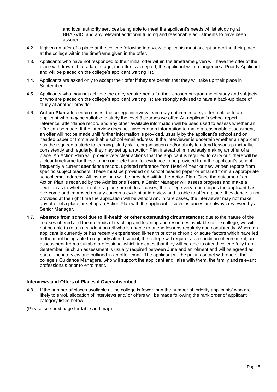and local authority services being able to meet the applicant's needs whilst studying at BHASVIC, and any relevant additional funding and reasonable adjustments to have been assured.

- 4.2. If given an offer of a place at the college following interview, applicants must accept or decline their place at the college within the timeframe given in the offer.
- 4.3. Applicants who have not responded to their initial offer within the timeframe given will have the offer of the place withdrawn. If, at a later stage, the offer is accepted, the applicant will no longer be a Priority Applicant and will be placed on the college's applicant waiting list.
- 4.4. Applicants are asked only to accept their offer if they are certain that they will take up their place in September.
- 4.5. Applicants who may not achieve the entry requirements for their chosen programme of study and subjects or who are placed on the college's applicant waiting list are strongly advised to have a back-up place of study at another provider.
- 4.6. **Action Plans:** In certain cases, the college interview team may not immediately offer a place to an applicant who *may* be suitable to study the level 3 courses we offer. An applicant's school report, reference, attendance record and any other available information will be used used to assess whether an offer can be made. If the interview does not have enough information to make a reasonable assessment, an offer will not be made until further information is provided, usually by the applicant's school and on headed paper or from a verifiable school email address. If the interviewer is uncertain whether an applicant has the required attitude to learning, study skills, organisation and/or ability to attend lessons punctually, consistently and regularly, they may set up an Action Plan instead of immediately making an offer of a place. An Action Plan will provide very clear actions that the applicant is required to carry out; there will be a clear timeframe for these to be completed and for evidence to be provided from the applicant's school – frequently a current attendance record, updated reference from Head of Year or new written reports from specific subject teachers. These must be provided on school headed paper or emailed from an appropriate school email address. All instructions will be provided within the Action Plan. Once the outcome of an Action Plan is received by the Admissions Team, a Senior Manager will assess progress and make a decision as to whether to offer a place or not. In all cases, the college very much hopes the applicant has overcome and improved on any concerns evident at interview and is able to offer a place. If evidence is not provided at the right time the application will be withdrawn. In rare cases, the interviewer may not make any offer of a place or set up an Action Plan with the applicant – such instances are always reviewed by a Senior Manager.
- 4.7. **Absence from school due to ill-health or other extenuating circumstances:** due to the nature of the courses offered and the methods of teaching and learning and resources available to the college, we will not be able to retain a student on roll who is unable to attend lessons regularly and consistently. Where an applicant is currently or has recently experienced ill-health or other chronic or acute factors which have led to them not being able to regularly attend school, the college will require, as a condition of enrolment, an assessment from a suitable professional which indicates that they will be able to attend college fully from September. Such an assessment is usually required between June and enrolment and will be agreed as part of the interview and outlined in an offer email. The applicant will be put in contact with one of the college's Guidance Managers, who will support the applicant and liaise with them, the family and relevant professionals prior to enrolment.

#### **Interviews and Offers of Places if Oversubscribed**

4.8. If the number of places available at the college is fewer than the number of 'priority applicants' who are likely to enrol, allocation of interviews and/ or offers will be made following the rank order of applicant category listed below:

(Please see next page for table and map)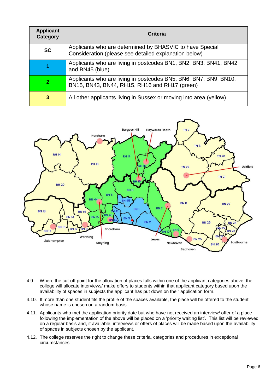| <b>Applicant</b><br>Category | Criteria                                                                                                          |
|------------------------------|-------------------------------------------------------------------------------------------------------------------|
| <b>SC</b>                    | Applicants who are determined by BHASVIC to have Special<br>Consideration (please see detailed explanation below) |
|                              | Applicants who are living in postcodes BN1, BN2, BN3, BN41, BN42<br>and BN45 (blue)                               |
| 2                            | Applicants who are living in postcodes BN5, BN6, BN7, BN9, BN10,<br>BN15, BN43, BN44, RH15, RH16 and RH17 (green) |
| 3                            | All other applicants living in Sussex or moving into area (yellow)                                                |



- 4.9. Where the cut-off point for the allocation of places falls within one of the applicant categories above, the college will allocate interviews/ make offers to students within that applicant category based upon the availability of spaces in subjects the applicant has put down on their application form.
- 4.10. If more than one student fits the profile of the spaces available, the place will be offered to the student whose name is chosen on a random basis.
- 4.11. Applicants who met the application priority date but who have not received an interview/ offer of a place following the implementation of the above will be placed on a 'priority waiting list'. This list will be reviewed on a regular basis and, if available, interviews or offers of places will be made based upon the availability of spaces in subjects chosen by the applicant.
- 4.12. The college reserves the right to change these criteria, categories and procedures in exceptional circumstances.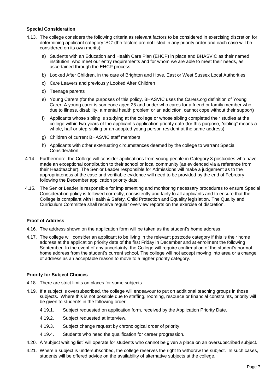#### **Special Consideration**

- 4.13. The college considers the following criteria as relevant factors to be considered in exercising discretion for determining applicant category 'SC' (the factors are not listed in any priority order and each case will be considered on its own merits):
	- a) Students with an Education and Health Care Plan (EHCP) in place and BHASVIC as their named institution, who meet our entry requirements and for whom we are able to meet their needs, as ascertained through the EHCP process
	- b) Looked After Children, in the care of Brighton and Hove, East or West Sussex Local Authorities
	- c) Care Leavers and previously Looked After Children
	- d) Teenage parents
	- e) Young Carers (for the purposes of this policy, BHASVIC uses the Carers.org definition of Young Carer: A young carer is someone aged 25 and under who cares for a friend or family member who, due to illness, disability, a mental health problem or an addiction, cannot cope without their support)
	- f) Applicants whose sibling is studying at the college or whose sibling completed their studies at the college within two years of the applicant's application priority date (for this purpose, "sibling" means a whole, half or step-sibling or an adopted young person resident at the same address)
	- g) Children of current BHASVIC staff members
	- h) Applicants with other extenuating circumstances deemed by the college to warrant Special Consideration
- 4.14. Furthermore, the College will consider applications from young people in Category 3 postcodes who have made an exceptional contribution to their school or local community (as evidenced via a reference from their Headteacher). The Senior Leader responsible for Admissions will make a judgement as to the appropriateness of the case and verifiable evidence will need to be provided by the end of February following the December application priority date.
- 4.15. The Senior Leader is responsible for implementing and monitoring necessary procedures to ensure Special Consideration policy is followed correctly, consistently and fairly to all applicants and to ensure that the College is compliant with Health & Safety, Child Protection and Equality legislation. The Quality and Curriculum Committee shall receive regular overview reports on the exercise of discretion.

#### **Proof of Address**

- 4.16. The address shown on the application form will be taken as the student's home address.
- 4.17. The college will consider an applicant to be living in the relevant postcode category if this is their home address at the application priority date of the first Friday in December and at enrolment the following September. In the event of any uncertainty, the College will require confirmation of the student's normal home address from the student's current school. The college will not accept moving into area or a change of address as an acceptable reason to move to a higher priority category.

#### **Priority for Subject Choices**

- 4.18. There are strict limits on places for some subjects.
- 4.19. If a subject is oversubscribed, the college will endeavour to put on additional teaching groups in those subjects. Where this is not possible due to staffing, rooming, resource or financial constraints, priority will be given to students in the following order:
	- 4.19.1. Subject requested on application form, received by the Application Priority Date.
	- 4.19.2. Subject requested at interview.
	- 4.19.3. Subject change request by chronological order of priority.
	- 4.19.4. Students who need the qualification for career progression.
- 4.20. A 'subject waiting list' will operate for students who cannot be given a place on an oversubscribed subject.
- 4.21. Where a subject is undersubscribed, the college reserves the right to withdraw the subject. In such cases, students will be offered advice on the availability of alternative subjects at the college.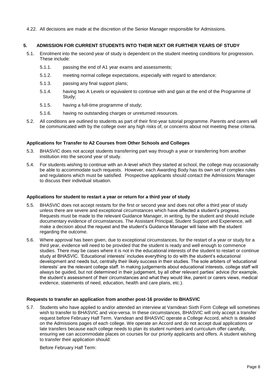4.22. All decisions are made at the discretion of the Senior Manager responsible for Admissions.

### **5. ADMISSION FOR CURRENT STUDENTS INTO THEIR NEXT OR FURTHER YEARS OF STUDY**

- 5.1. Enrolment into the second year of study is dependent on the student meeting conditions for progression. These include:
	- 5.1.1. passing the end of A1 year exams and assessments;
	- 5.1.2. meeting normal college expectations, especially with regard to attendance;
	- 5.1.3. passing any final support plans;
	- 5.1.4. having two A Levels or equivalent to continue with and gain at the end of the Programme of Study;
	- 5.1.5. having a full-time programme of study;
	- 5.1.6. having no outstanding charges or unreturned resources.
- 5.2. All conditions are outlined to students as part of their first-year tutorial programme. Parents and carers will be communicated with by the college over any high risks of, or concerns about not meeting these criteria.

#### **Applications for Transfer to A2 Courses from Other Schools and Colleges**

- 5.3. BHASVIC does not accept students transferring part way through a year or transferring from another institution into the second year of study.
- 5.4. For students wishing to continue with an A-level which they started at school, the college may occasionally be able to accommodate such requests. However, each Awarding Body has its own set of complex rules and regulations which must be satisfied. Prospective applicants should contact the Admissions Manager to discuss their individual situation.

#### **Applications for student to restart a year or return for a third year of study**

- 5.5. BHASVIC does not accept restarts for the first or second year and does not offer a third year of study unless there are severe and exceptional circumstances which have affected a student's progress. Requests must be made to the relevant Guidance Manager, in writing, by the student and should include documentary evidence of circumstances. The Assistant Principal, Student Support and Experience, will make a decision about the request and the student's Guidance Manager will liaise with the student regarding the outcome.
- 5.6. Where approval has been given, due to exceptional circumstances, for the restart of a year or study for a third year, evidence will need to be provided that the student is ready and well enough to commence studies. There may be cases where it is not in the educational interests of the student to restart or continue study at BHASVIC. 'Educational interests' includes everything to do with the student's educational development and needs but, centrally their likely success in their studies. The sole arbiters of 'educational interests' are the relevant college staff. In making judgements about educational interests, college staff will always be guided, but not determined in their judgement, by all other relevant parties' advice (for example, the student's assessment of their circumstances and what they would like, parent or carers views, medical evidence, statements of need, education, health and care plans, etc.).

#### **Requests to transfer an application from another post-16 provider to BHASVIC**

5.7. Students who have applied to and/or attended an interview at Varndean Sixth Form College will sometimes wish to transfer to BHASVIC and vice-versa. In these circumstances, BHASVIC will only accept a transfer request before February Half Term. Varndean and BHASVIC operate a College Accord, which is detailed on the Admissions pages of each college. We operate an Accord and do not accept dual applications or late transfers because each college needs to plan its student numbers and curriculum offer carefully, ensuring we can accommodate places on courses for our priority applicants and offers. A student wishing to transfer their application should:

Before February Half Term: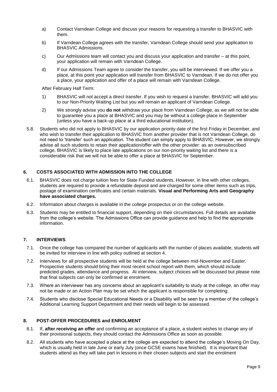- a) Contact Varndean College and discuss your reasons for requesting a transfer to BHASVIC with them.
- b) If Varndean College agrees with the transfer, Varndean College should send your application to BHASVIC Admissions.
- c) Our Admissions team will contact you and discuss your application and transfer at this point, your application will remain with Varndean College.
- d) If our Admissions Team agree to consider the transfer, you will be interviewed. If we offer you a place, at this point your application will transfer from BHASVIC to Varndean. If we do not offer you a place, your application and offer of a place will remain with Varndean College.

After February Half Term:

- 1) BHASVIC will not accept a direct transfer. If you wish to request a transfer, BHASVIC will add you to our Non-Priority Waiting List but you will remain an applicant of Varndean College.
- 2) We strongly advise you **do not** withdraw your place from Varndean College, as we will not be able to guarantee you a place at BHASVIC and you may be without a college place in September (unless you have a back-up place at a third educational institution).
- 5.8. Students who did not apply to BHASVIC by our application priority date of the first Friday in December, and who wish to transfer their application to BHASVIC from another provider that is not Varndean College, do not need to 'transfer' such an application. The student can simply apply to BHASVIC. However, we strongly advise all such students to retain their application/offer with the other provider: as an oversubscribed college, BHASVIC is likely to place late applications on our non-priority waiting list and there is a considerable risk that we will not be able to offer a place at BHASVIC for September.

## **6. COSTS ASSOCIATED WITH ADMISSION INTO THE COLLEGE**

- 6.1. BHASVIC does not charge tuition fees for State Funded students. However, in line with other colleges, students are required to provide a refundable deposit and are charged for some other items such as trips, postage of examination certificates and certain materials. **Visual and Performing Arts and Geography have associated charges.**
- 6.2. Information about charges is available in the college prospectus or on the college website.
- 6.3. Students may be entitled to financial support, depending on their circumstances. Full details are available from the college's website. The Admissions Office can provide guidance and help to find the appropriate information.

#### **7. INTERVIEWS**

- 7.1. Once the college has compared the number of applicants with the number of places available, students will be invited for interview in line with policy outlined at section 4.
- 7.2. Interviews for all prospective students will be held at the college between mid-November and Easter. Prospective students should bring their most recent school report with them, which should include predicted grades, attendance and progress. At interview, subject choices will be discussed but please note that final subjects can only be confirmed at enrolment.
- 7.3. Where an interviewer has any concerns about an applicant's suitability to study at the college, an offer may not be made or an Action Plan may be set which the applicant is responsible for completing.
- 7.4. Students who disclose Special Educational Needs or a Disability will be seen by a member of the college's Additional Learning Support Department and their needs will begin to be assessed.

#### **8. POST-OFFER PROCEDURES and ENROLMENT**

- 8.1. If, **after receiving an offer** and confirming an acceptance of a place, a student wishes to change any of their provisional subjects, they should contact the Admissions Office as soon as possible.
- 8.2. All students who have accepted a place at the college are expected to attend the college's Moving On Day, which is usually held in late June or early July (once GCSE exams have finished). It is important that students attend as they will take part in lessons in their chosen subjects and start the enrolment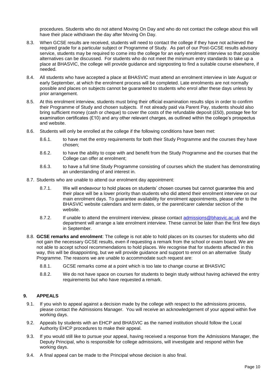procedures. Students who do not attend Moving On Day and who do not contact the college about this will have their place withdrawn the day after Moving On Day.

- 8.3. When GCSE results are received, students will need to contact the college if they have not achieved the required grade for a particular subject or Programme of Study. As part of our Post-GCSE results advisory service, students may be required to come into the college for an early enrolment interview so that possible alternatives can be discussed. For students who do not meet the minimum entry standards to take up a place at BHASVIC, the college will provide guidance and signposting to find a suitable course elsewhere, if needed.
- 8.4. All students who have accepted a place at BHASVIC must attend an enrolment interview in late August or early September, at which the enrolment process will be completed. Late enrolments are not normally possible and places on subjects cannot be guaranteed to students who enrol after these days unless by prior arrangement.
- 8.5. At this enrolment interview, students must bring their official examination results slips in order to confirm their Programme of Study and chosen subjects. If not already paid via Parent Pay, students should also bring sufficient money (cash or cheque) to cover the costs of the refundable deposit (£50), postage fee for examination certificates (£10) and any other relevant charges, as outlined within the college's prospectus and website.
- 8.6. Students will only be enrolled at the college if the following conditions have been met:
	- 8.6.1. to have met the entry requirements for both their Study Programme and the courses they have chosen;
	- 8.6.2. to have the ability to cope with and benefit from the Study Programme and the courses that the College can offer at enrolment;
	- 8.6.3. to have a full time Study Programme consisting of courses which the student has demonstrating an understanding of and interest in.
- 8.7. Students who are unable to attend our enrolment day appointment:
	- 8.7.1. We will endeavour to hold places on students' chosen courses but cannot guarantee this and their place will be a lower priority than students who did attend their enrolment interview on our main enrolment days. To guarantee availability for enrolment appointments, please refer to the BHASVIC website calendars and term dates, or the parent/carer calendar section of the website.
	- 8.7.2. If unable to attend the enrolment interview, please contact [admissions@bhasvic.ac.uk](mailto:admissions@bhasvic.ac.uk) and the department will arrange a late enrolment interview. These cannot be later than the first few days in September.
- 8.8. **GCSE remarks and enrolment**: The college is not able to hold places on its courses for students who did not gain the necessary GCSE results, even if requesting a remark from the school or exam board. We are not able to accept school recommendations to hold places. We recognise that for students affected in this way, this will be disappointing, but we will provide guidance and support to enrol on an alternative Study Programme. The reasons we are unable to accommodate such request are:
	- 8.8.1. GCSE remarks come at a point which is too late to change course at BHASVIC
	- 8.8.2. We do not have space on courses for students to begin study without having achieved the entry requirements but who have requested a remark.

## **9. APPEALS**

- 9.1. If you wish to appeal against a decision made by the college with respect to the admissions process, please contact the Admissions Manager. You will receive an acknowledgement of your appeal within five working days.
- 9.2. Appeals by students with an EHCP and BHASVIC as the named institution should follow the Local Authority EHCP procedures to make their appeal.
- 9.3. If you would still like to pursue your appeal, having received a response from the Admissions Manager, the Deputy Principal, who is responsible for college admissions, will investigate and respond within five working days.
- 9.4. A final appeal can be made to the Principal whose decision is also final.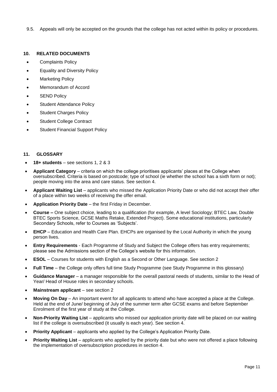9.5. Appeals will only be accepted on the grounds that the college has not acted within its policy or procedures.

#### **10. RELATED DOCUMENTS**

- Complaints Policy
- Equality and Diversity Policy
- **Marketing Policy**
- Memorandum of Accord
- **SEND Policy**
- Student Attendance Policy
- Student Charges Policy
- Student College Contract
- Student Financial Support Policy

#### **11. GLOSSARY**

- **18+ students** see sections 1, 2 & 3
- **Applicant Category** criteria on which the college prioritises applicants' places at the College when oversubscribed. Criteria is based on postcode; type of school (ie whether the school has a sixth form or not); people moving into the area and care status. See section 4.
- **Applicant Waiting List** applicants who missed the Application Priority Date or who did not accept their offer of a place within two weeks of receiving the offer email.
- **Application Priority Date** the first Friday in December.
- **Course –** One subject choice, leading to a qualification (for example, A level Sociology; BTEC Law, Double BTEC Sports Science, GCSE Maths Retake, Extended Project). Some educational institutions, particularly Secondary Schools, refer to Courses as 'Subjects'.
- **EHCP** Education and Health Care Plan. EHCPs are organised by the Local Authority in which the young person lives.
- **Entry Requirements** Each Programme of Study and Subject the College offers has entry requirements; please see the Admissions section of the College's website for this information.
- **ESOL** Courses for students with English as a Second or Other Language. See section 2
- **Full Time** the College only offers full time Study Programme (see Study Programme in this glossary)
- **Guidance Manager** a manager responsible for the overall pastoral needs of students, similar to the Head of Year/ Head of House roles in secondary schools.
- **Mainstream applicant** see section 2
- **Moving On Day** An important event for all applicants to attend who have accepted a place at the College. Held at the end of June/ beginning of July of the summer term after GCSE exams and before September Enrolment of the first year of study at the College.
- **Non-Priority Waiting List** applicants who missed our application priority date will be placed on our waiting list if the college is oversubscribed (it usually is each year). See section 4.
- **Priority Applicant** applicants who applied by the College's Application Priority Date.
- **Priority Waiting List** applicants who applied by the priority date but who were not offered a place following the implementation of oversubscription procedures in section 4.